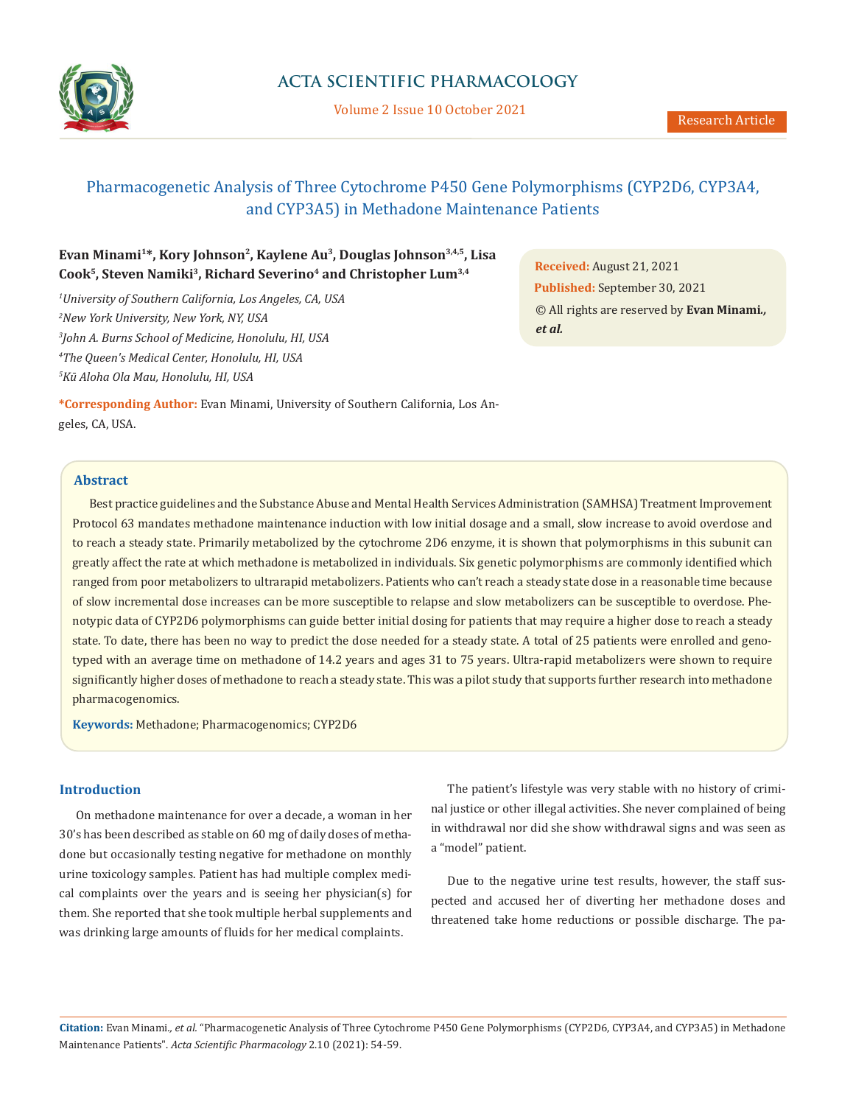

Volume 2 Issue 10 October 2021

# Pharmacogenetic Analysis of Three Cytochrome P450 Gene Polymorphisms (CYP2D6, CYP3A4, and CYP3A5) in Methadone Maintenance Patients

# **Evan Minami1\*, Kory Johnson2, Kaylene Au3, Douglas Johnson3,4,5, Lisa**  Cook<sup>5</sup>, Steven Namiki<sup>3</sup>, Richard Severino<sup>4</sup> and Christopher Lum<sup>3,4</sup>

 *University of Southern California, Los Angeles, CA, USA New York University, New York, NY, USA John A. Burns School of Medicine, Honolulu, HI, USA The Queen's Medical Center, Honolulu, HI, USA Kū Aloha Ola Mau, Honolulu, HI, USA*

**Received:** August 21, 2021 **Published:** September 30, 2021 © All rights are reserved by **Evan Minami***., et al.*

**\*Corresponding Author:** Evan Minami, University of Southern California, Los Angeles, CA, USA.

## **Abstract**

Best practice guidelines and the Substance Abuse and Mental Health Services Administration (SAMHSA) Treatment Improvement Protocol 63 mandates methadone maintenance induction with low initial dosage and a small, slow increase to avoid overdose and to reach a steady state. Primarily metabolized by the cytochrome 2D6 enzyme, it is shown that polymorphisms in this subunit can greatly affect the rate at which methadone is metabolized in individuals. Six genetic polymorphisms are commonly identified which ranged from poor metabolizers to ultrarapid metabolizers. Patients who can't reach a steady state dose in a reasonable time because of slow incremental dose increases can be more susceptible to relapse and slow metabolizers can be susceptible to overdose. Phenotypic data of CYP2D6 polymorphisms can guide better initial dosing for patients that may require a higher dose to reach a steady state. To date, there has been no way to predict the dose needed for a steady state. A total of 25 patients were enrolled and genotyped with an average time on methadone of 14.2 years and ages 31 to 75 years. Ultra-rapid metabolizers were shown to require significantly higher doses of methadone to reach a steady state. This was a pilot study that supports further research into methadone pharmacogenomics.

**Keywords:** Methadone; Pharmacogenomics; CYP2D6

## **Introduction**

On methadone maintenance for over a decade, a woman in her 30's has been described as stable on 60 mg of daily doses of methadone but occasionally testing negative for methadone on monthly urine toxicology samples. Patient has had multiple complex medical complaints over the years and is seeing her physician(s) for them. She reported that she took multiple herbal supplements and was drinking large amounts of fluids for her medical complaints.

The patient's lifestyle was very stable with no history of criminal justice or other illegal activities. She never complained of being in withdrawal nor did she show withdrawal signs and was seen as a "model" patient.

Due to the negative urine test results, however, the staff suspected and accused her of diverting her methadone doses and threatened take home reductions or possible discharge. The pa-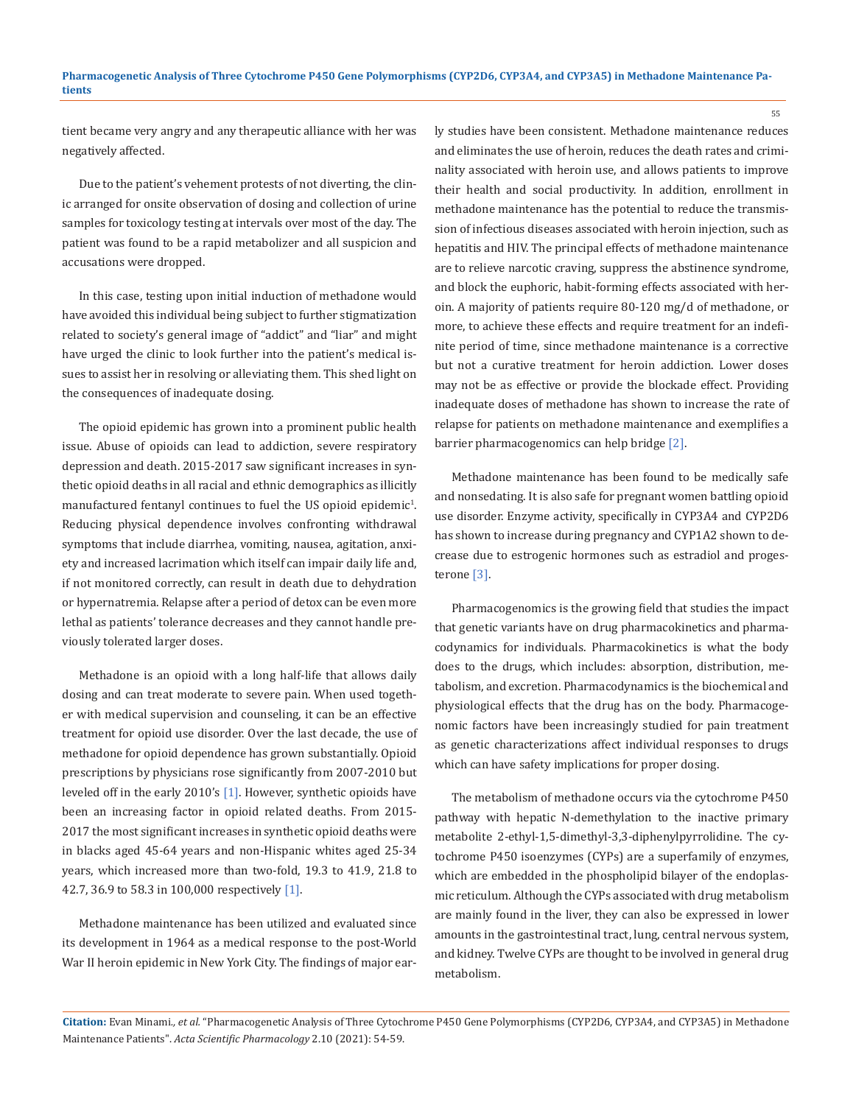tient became very angry and any therapeutic alliance with her was negatively affected.

Due to the patient's vehement protests of not diverting, the clinic arranged for onsite observation of dosing and collection of urine samples for toxicology testing at intervals over most of the day. The patient was found to be a rapid metabolizer and all suspicion and accusations were dropped.

In this case, testing upon initial induction of methadone would have avoided this individual being subject to further stigmatization related to society's general image of "addict" and "liar" and might have urged the clinic to look further into the patient's medical issues to assist her in resolving or alleviating them. This shed light on the consequences of inadequate dosing.

The opioid epidemic has grown into a prominent public health issue. Abuse of opioids can lead to addiction, severe respiratory depression and death. 2015-2017 saw significant increases in synthetic opioid deaths in all racial and ethnic demographics as illicitly manufactured fentanyl continues to fuel the US opioid epidemic $^1$ . Reducing physical dependence involves confronting withdrawal symptoms that include diarrhea, vomiting, nausea, agitation, anxiety and increased lacrimation which itself can impair daily life and, if not monitored correctly, can result in death due to dehydration or hypernatremia. Relapse after a period of detox can be even more lethal as patients' tolerance decreases and they cannot handle previously tolerated larger doses.

Methadone is an opioid with a long half-life that allows daily dosing and can treat moderate to severe pain. When used together with medical supervision and counseling, it can be an effective treatment for opioid use disorder. Over the last decade, the use of methadone for opioid dependence has grown substantially. Opioid prescriptions by physicians rose significantly from 2007-2010 but leveled off in the early 2010's [1]. However, synthetic opioids have been an increasing factor in opioid related deaths. From 2015- 2017 the most significant increases in synthetic opioid deaths were in blacks aged 45-64 years and non-Hispanic whites aged 25-34 years, which increased more than two-fold, 19.3 to 41.9, 21.8 to 42.7, 36.9 to 58.3 in 100,000 respectively [1].

Methadone maintenance has been utilized and evaluated since its development in 1964 as a medical response to the post-World War II heroin epidemic in New York City. The findings of major early studies have been consistent. Methadone maintenance reduces and eliminates the use of heroin, reduces the death rates and criminality associated with heroin use, and allows patients to improve their health and social productivity. In addition, enrollment in methadone maintenance has the potential to reduce the transmission of infectious diseases associated with heroin injection, such as hepatitis and HIV. The principal effects of methadone maintenance are to relieve narcotic craving, suppress the abstinence syndrome, and block the euphoric, habit-forming effects associated with heroin. A majority of patients require 80-120 mg/d of methadone, or more, to achieve these effects and require treatment for an indefinite period of time, since methadone maintenance is a corrective but not a curative treatment for heroin addiction. Lower doses may not be as effective or provide the blockade effect. Providing inadequate doses of methadone has shown to increase the rate of relapse for patients on methadone maintenance and exemplifies a barrier pharmacogenomics can help bridge [2].

Methadone maintenance has been found to be medically safe and nonsedating. It is also safe for pregnant women battling opioid use disorder. Enzyme activity, specifically in CYP3A4 and CYP2D6 has shown to increase during pregnancy and CYP1A2 shown to decrease due to estrogenic hormones such as estradiol and progesterone [3].

Pharmacogenomics is the growing field that studies the impact that genetic variants have on drug pharmacokinetics and pharmacodynamics for individuals. Pharmacokinetics is what the body does to the drugs, which includes: absorption, distribution, metabolism, and excretion. Pharmacodynamics is the biochemical and physiological effects that the drug has on the body. Pharmacogenomic factors have been increasingly studied for pain treatment as genetic characterizations affect individual responses to drugs which can have safety implications for proper dosing.

The metabolism of methadone occurs via the cytochrome P450 pathway with hepatic N-demethylation to the inactive primary metabolite 2-ethyl-1,5-dimethyl-3,3-diphenylpyrrolidine. The cytochrome P450 isoenzymes (CYPs) are a superfamily of enzymes, which are embedded in the phospholipid bilayer of the endoplasmic reticulum. Although the CYPs associated with drug metabolism are mainly found in the liver, they can also be expressed in lower amounts in the gastrointestinal tract, lung, central nervous system, and kidney. Twelve CYPs are thought to be involved in general drug metabolism.

55

**Citation:** Evan Minami*., et al.* "Pharmacogenetic Analysis of Three Cytochrome P450 Gene Polymorphisms (CYP2D6, CYP3A4, and CYP3A5) in Methadone Maintenance Patients". *Acta Scientific Pharmacology* 2.10 (2021): 54-59.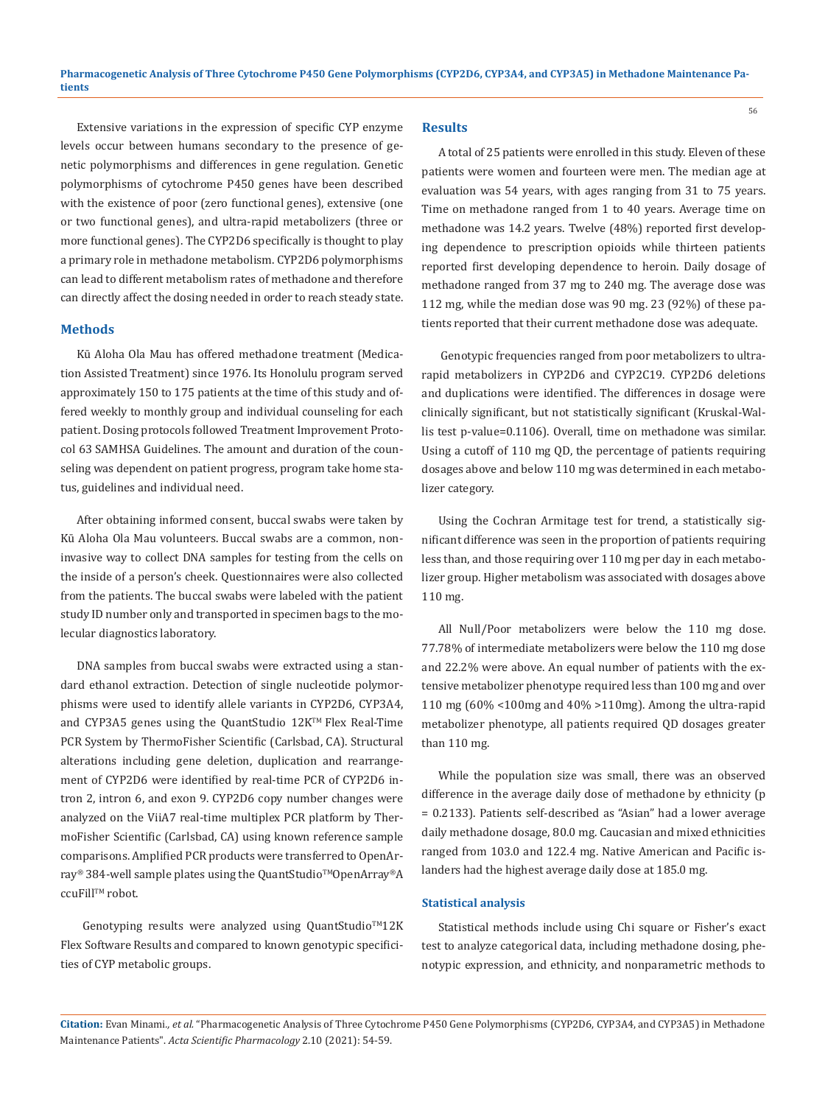Extensive variations in the expression of specific CYP enzyme levels occur between humans secondary to the presence of genetic polymorphisms and differences in gene regulation. Genetic polymorphisms of cytochrome P450 genes have been described with the existence of poor (zero functional genes), extensive (one or two functional genes), and ultra-rapid metabolizers (three or more functional genes). The CYP2D6 specifically is thought to play a primary role in methadone metabolism. CYP2D6 polymorphisms can lead to different metabolism rates of methadone and therefore can directly affect the dosing needed in order to reach steady state.

#### **Methods**

Kū Aloha Ola Mau has offered methadone treatment (Medication Assisted Treatment) since 1976. Its Honolulu program served approximately 150 to 175 patients at the time of this study and offered weekly to monthly group and individual counseling for each patient. Dosing protocols followed Treatment Improvement Protocol 63 SAMHSA Guidelines. The amount and duration of the counseling was dependent on patient progress, program take home status, guidelines and individual need.

After obtaining informed consent, buccal swabs were taken by Kū Aloha Ola Mau volunteers. Buccal swabs are a common, noninvasive way to collect DNA samples for testing from the cells on the inside of a person's cheek. Questionnaires were also collected from the patients. The buccal swabs were labeled with the patient study ID number only and transported in specimen bags to the molecular diagnostics laboratory.

DNA samples from buccal swabs were extracted using a standard ethanol extraction. Detection of single nucleotide polymorphisms were used to identify allele variants in CYP2D6, CYP3A4, and CYP3A5 genes using the QuantStudio 12K™ Flex Real-Time PCR System by ThermoFisher Scientific (Carlsbad, CA). Structural alterations including gene deletion, duplication and rearrangement of CYP2D6 were identified by real-time PCR of CYP2D6 intron 2, intron 6, and exon 9. CYP2D6 copy number changes were analyzed on the ViiA7 real-time multiplex PCR platform by ThermoFisher Scientific (Carlsbad, CA) using known reference sample comparisons. Amplified PCR products were transferred to OpenArray® 384-well sample plates using the QuantStudio™OpenArray®A ccuFill™ robot.

Genotyping results were analyzed using QuantStudio™12K Flex Software Results and compared to known genotypic specificities of CYP metabolic groups.

#### **Results**

A total of 25 patients were enrolled in this study. Eleven of these patients were women and fourteen were men. The median age at evaluation was 54 years, with ages ranging from 31 to 75 years. Time on methadone ranged from 1 to 40 years. Average time on methadone was 14.2 years. Twelve (48%) reported first developing dependence to prescription opioids while thirteen patients reported first developing dependence to heroin. Daily dosage of methadone ranged from 37 mg to 240 mg. The average dose was 112 mg, while the median dose was 90 mg. 23 (92%) of these patients reported that their current methadone dose was adequate.

56

 Genotypic frequencies ranged from poor metabolizers to ultrarapid metabolizers in CYP2D6 and CYP2C19. CYP2D6 deletions and duplications were identified. The differences in dosage were clinically significant, but not statistically significant (Kruskal-Wallis test p-value=0.1106). Overall, time on methadone was similar. Using a cutoff of 110 mg QD, the percentage of patients requiring dosages above and below 110 mg was determined in each metabolizer category.

Using the Cochran Armitage test for trend, a statistically significant difference was seen in the proportion of patients requiring less than, and those requiring over 110 mg per day in each metabolizer group. Higher metabolism was associated with dosages above 110 mg.

All Null/Poor metabolizers were below the 110 mg dose. 77.78% of intermediate metabolizers were below the 110 mg dose and 22.2% were above. An equal number of patients with the extensive metabolizer phenotype required less than 100 mg and over 110 mg (60% <100mg and 40% >110mg). Among the ultra-rapid metabolizer phenotype, all patients required QD dosages greater than 110 mg.

While the population size was small, there was an observed difference in the average daily dose of methadone by ethnicity (p = 0.2133). Patients self-described as "Asian" had a lower average daily methadone dosage, 80.0 mg. Caucasian and mixed ethnicities ranged from 103.0 and 122.4 mg. Native American and Pacific islanders had the highest average daily dose at 185.0 mg.

#### **Statistical analysis**

Statistical methods include using Chi square or Fisher's exact test to analyze categorical data, including methadone dosing, phenotypic expression, and ethnicity, and nonparametric methods to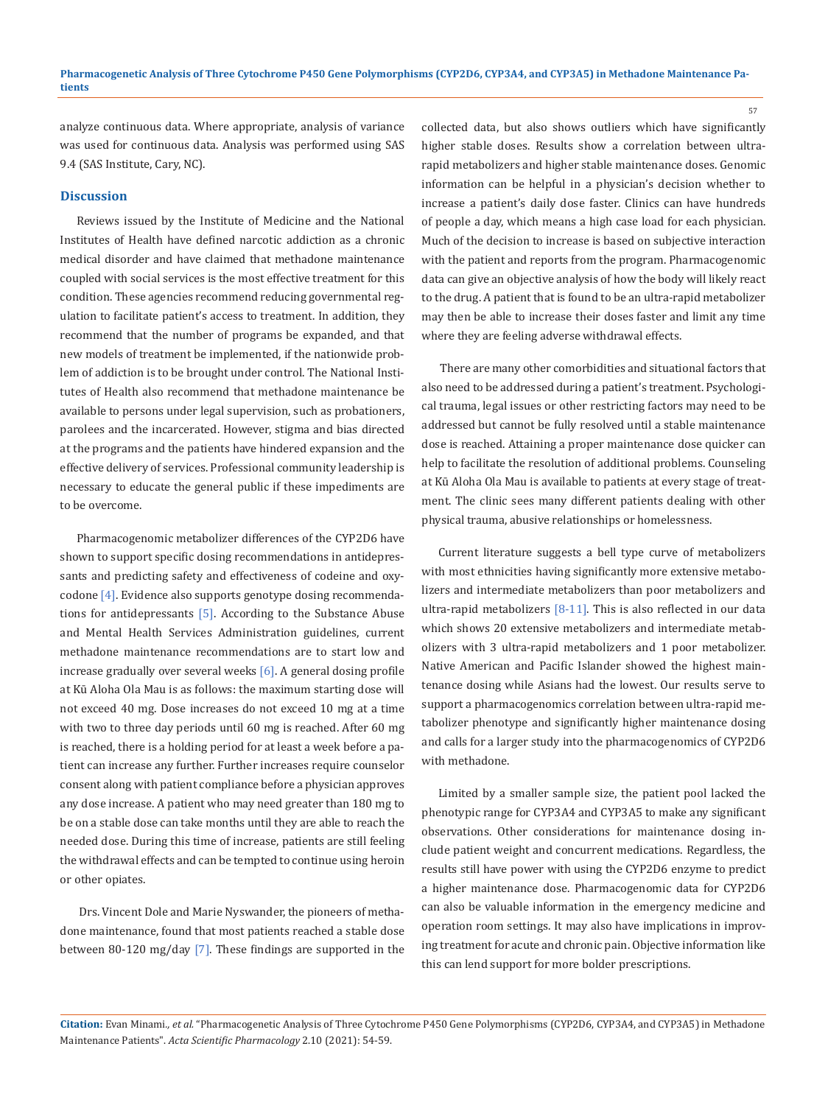analyze continuous data. Where appropriate, analysis of variance was used for continuous data. Analysis was performed using SAS 9.4 (SAS Institute, Cary, NC).

### **Discussion**

Reviews issued by the Institute of Medicine and the National Institutes of Health have defined narcotic addiction as a chronic medical disorder and have claimed that methadone maintenance coupled with social services is the most effective treatment for this condition. These agencies recommend reducing governmental regulation to facilitate patient's access to treatment. In addition, they recommend that the number of programs be expanded, and that new models of treatment be implemented, if the nationwide problem of addiction is to be brought under control. The National Institutes of Health also recommend that methadone maintenance be available to persons under legal supervision, such as probationers, parolees and the incarcerated. However, stigma and bias directed at the programs and the patients have hindered expansion and the effective delivery of services. Professional community leadership is necessary to educate the general public if these impediments are to be overcome.

Pharmacogenomic metabolizer differences of the CYP2D6 have shown to support specific dosing recommendations in antidepressants and predicting safety and effectiveness of codeine and oxycodone [4]. Evidence also supports genotype dosing recommendations for antidepressants [5]. According to the Substance Abuse and Mental Health Services Administration guidelines, current methadone maintenance recommendations are to start low and increase gradually over several weeks [6]. A general dosing profile at Kū Aloha Ola Mau is as follows: the maximum starting dose will not exceed 40 mg. Dose increases do not exceed 10 mg at a time with two to three day periods until 60 mg is reached. After 60 mg is reached, there is a holding period for at least a week before a patient can increase any further. Further increases require counselor consent along with patient compliance before a physician approves any dose increase. A patient who may need greater than 180 mg to be on a stable dose can take months until they are able to reach the needed dose. During this time of increase, patients are still feeling the withdrawal effects and can be tempted to continue using heroin or other opiates.

 Drs. Vincent Dole and Marie Nyswander, the pioneers of methadone maintenance, found that most patients reached a stable dose between 80-120 mg/day [7]. These findings are supported in the collected data, but also shows outliers which have significantly higher stable doses. Results show a correlation between ultrarapid metabolizers and higher stable maintenance doses. Genomic information can be helpful in a physician's decision whether to increase a patient's daily dose faster. Clinics can have hundreds of people a day, which means a high case load for each physician. Much of the decision to increase is based on subjective interaction with the patient and reports from the program. Pharmacogenomic data can give an objective analysis of how the body will likely react to the drug. A patient that is found to be an ultra-rapid metabolizer may then be able to increase their doses faster and limit any time where they are feeling adverse withdrawal effects.

57

 There are many other comorbidities and situational factors that also need to be addressed during a patient's treatment. Psychological trauma, legal issues or other restricting factors may need to be addressed but cannot be fully resolved until a stable maintenance dose is reached. Attaining a proper maintenance dose quicker can help to facilitate the resolution of additional problems. Counseling at Kū Aloha Ola Mau is available to patients at every stage of treatment. The clinic sees many different patients dealing with other physical trauma, abusive relationships or homelessness.

Current literature suggests a bell type curve of metabolizers with most ethnicities having significantly more extensive metabolizers and intermediate metabolizers than poor metabolizers and ultra-rapid metabolizers [8-11]. This is also reflected in our data which shows 20 extensive metabolizers and intermediate metabolizers with 3 ultra-rapid metabolizers and 1 poor metabolizer. Native American and Pacific Islander showed the highest maintenance dosing while Asians had the lowest. Our results serve to support a pharmacogenomics correlation between ultra-rapid metabolizer phenotype and significantly higher maintenance dosing and calls for a larger study into the pharmacogenomics of CYP2D6 with methadone.

Limited by a smaller sample size, the patient pool lacked the phenotypic range for CYP3A4 and CYP3A5 to make any significant observations. Other considerations for maintenance dosing include patient weight and concurrent medications. Regardless, the results still have power with using the CYP2D6 enzyme to predict a higher maintenance dose. Pharmacogenomic data for CYP2D6 can also be valuable information in the emergency medicine and operation room settings. It may also have implications in improving treatment for acute and chronic pain. Objective information like this can lend support for more bolder prescriptions.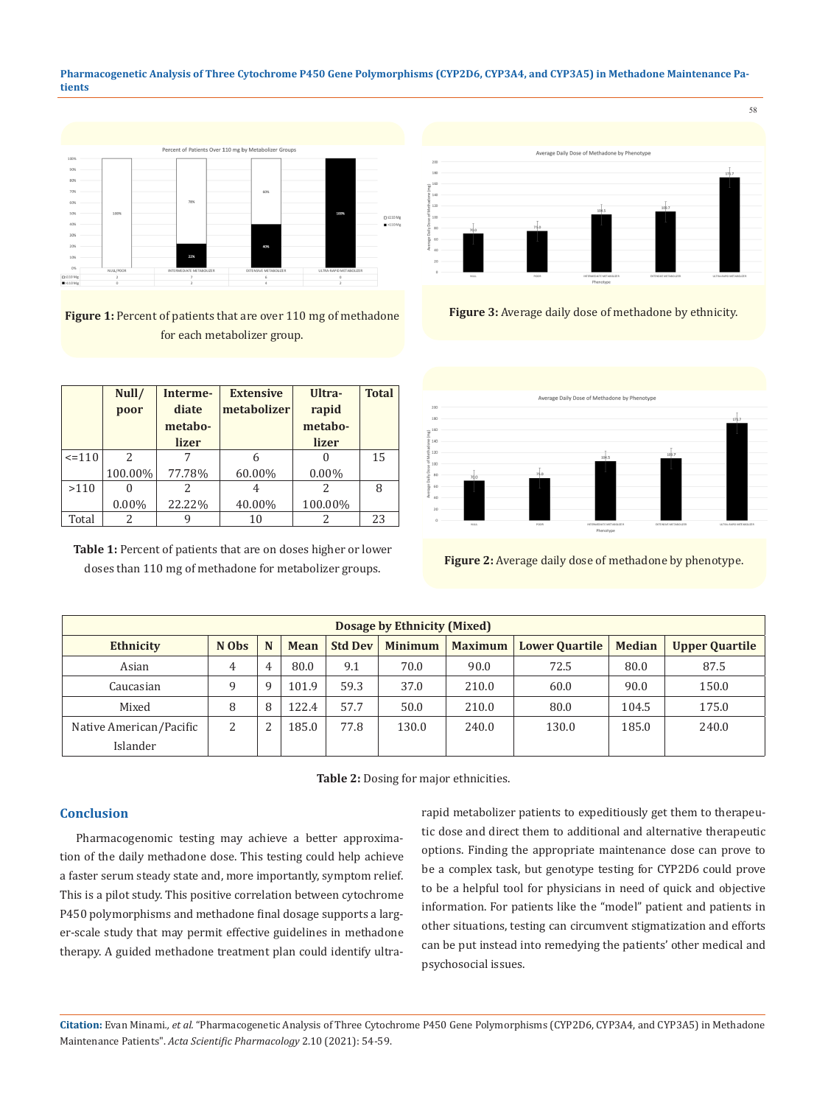**Pharmacogenetic Analysis of Three Cytochrome P450 Gene Polymorphisms (CYP2D6, CYP3A4, and CYP3A5) in Methadone Maintenance Patients**



Figure 1: Percent of patients that are over 110 mg of methadone for each metabolizer group.

|            | Null/<br>poor | Interme-<br>diate<br>metabo- | <b>Extensive</b><br>metabolizer | Ultra-<br>rapid<br>metabo- | <b>Total</b> |
|------------|---------------|------------------------------|---------------------------------|----------------------------|--------------|
|            |               | lizer                        |                                 | lizer                      |              |
| $\leq 110$ | $\mathcal{L}$ |                              |                                 |                            | 15           |
|            | 100.00%       | 77.78%                       | 60.00%                          | $0.00\%$                   |              |
| >110       |               |                              |                                 | 2                          | 8            |
|            | $0.00\%$      | 22.22%                       | 40.00%                          | 100.00%                    |              |
| Total      | 2             |                              | 10                              | 2                          | 23           |

**Table 1:** Percent of patients that are on doses higher or lower doses than 110 mg of methadone for metabolizer groups.



**Figure 3:** Average daily dose of methadone by ethnicity.



**Figure 2:** Average daily dose of methadone by phenotype.

| Dosage by Ethnicity (Mixed) |        |   |       |                |                |                |                       |               |                       |  |  |
|-----------------------------|--------|---|-------|----------------|----------------|----------------|-----------------------|---------------|-----------------------|--|--|
| <b>Ethnicity</b>            | N Obs  | N | Mean  | <b>Std Dev</b> | <b>Minimum</b> | <b>Maximum</b> | <b>Lower Quartile</b> | <b>Median</b> | <b>Upper Quartile</b> |  |  |
| Asian                       | 4      | 4 | 80.0  | 9.1            | 70.0           | 90.0           | 72.5                  | 80.0          | 87.5                  |  |  |
| Caucasian                   | q      | a | 101.9 | 59.3           | 37.0           | 210.0          | 60.0                  | 90.0          | 150.0                 |  |  |
| Mixed                       | 8      | 8 | 122.4 | 57.7           | 50.0           | 210.0          | 80.0                  | 104.5         | 175.0                 |  |  |
| Native American/Pacific     | າ<br>∠ | ົ | 185.0 | 77.8           | 130.0          | 240.0          | 130.0                 | 185.0         | 240.0                 |  |  |
| Islander                    |        |   |       |                |                |                |                       |               |                       |  |  |

**Table 2:** Dosing for major ethnicities.

### **Conclusion**

Pharmacogenomic testing may achieve a better approximation of the daily methadone dose. This testing could help achieve a faster serum steady state and, more importantly, symptom relief. This is a pilot study. This positive correlation between cytochrome P450 polymorphisms and methadone final dosage supports a larger-scale study that may permit effective guidelines in methadone therapy. A guided methadone treatment plan could identify ultrarapid metabolizer patients to expeditiously get them to therapeutic dose and direct them to additional and alternative therapeutic options. Finding the appropriate maintenance dose can prove to be a complex task, but genotype testing for CYP2D6 could prove to be a helpful tool for physicians in need of quick and objective information. For patients like the "model" patient and patients in other situations, testing can circumvent stigmatization and efforts can be put instead into remedying the patients' other medical and psychosocial issues.